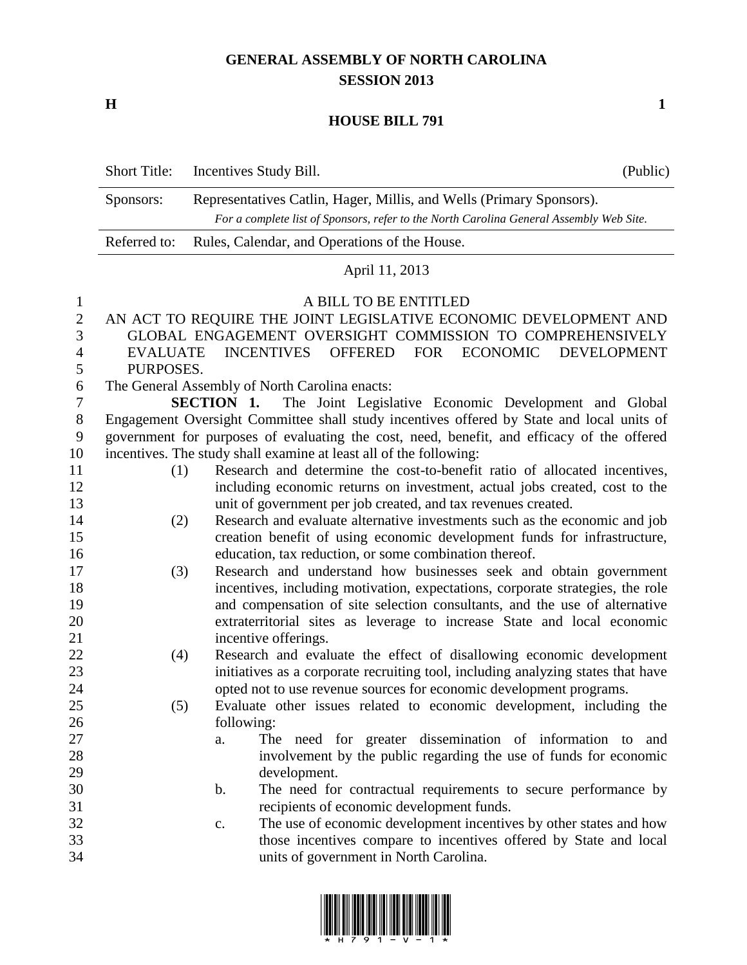## **GENERAL ASSEMBLY OF NORTH CAROLINA SESSION 2013**

**H 1**

## **HOUSE BILL 791**

|                     | <b>Short Title:</b>                                                                                                        | Incentives Study Bill.                                                                  | (Public) |  |
|---------------------|----------------------------------------------------------------------------------------------------------------------------|-----------------------------------------------------------------------------------------|----------|--|
|                     | Sponsors:                                                                                                                  | Representatives Catlin, Hager, Millis, and Wells (Primary Sponsors).                    |          |  |
|                     |                                                                                                                            | For a complete list of Sponsors, refer to the North Carolina General Assembly Web Site. |          |  |
|                     | Referred to:<br>Rules, Calendar, and Operations of the House.                                                              |                                                                                         |          |  |
|                     | April 11, 2013                                                                                                             |                                                                                         |          |  |
| $\mathbf{1}$        |                                                                                                                            | A BILL TO BE ENTITLED                                                                   |          |  |
| $\overline{2}$      |                                                                                                                            | AN ACT TO REQUIRE THE JOINT LEGISLATIVE ECONOMIC DEVELOPMENT AND                        |          |  |
| 3                   | GLOBAL ENGAGEMENT OVERSIGHT COMMISSION TO COMPREHENSIVELY                                                                  |                                                                                         |          |  |
| $\overline{4}$<br>5 | <b>INCENTIVES</b><br><b>OFFERED</b><br><b>FOR</b><br><b>ECONOMIC</b><br><b>DEVELOPMENT</b><br><b>EVALUATE</b><br>PURPOSES. |                                                                                         |          |  |
| 6                   | The General Assembly of North Carolina enacts:                                                                             |                                                                                         |          |  |
| 7                   | The Joint Legislative Economic Development and Global<br><b>SECTION 1.</b>                                                 |                                                                                         |          |  |
| $8\,$               | Engagement Oversight Committee shall study incentives offered by State and local units of                                  |                                                                                         |          |  |
| 9                   | government for purposes of evaluating the cost, need, benefit, and efficacy of the offered                                 |                                                                                         |          |  |
| 10                  | incentives. The study shall examine at least all of the following:                                                         |                                                                                         |          |  |
| 11                  | (1)                                                                                                                        | Research and determine the cost-to-benefit ratio of allocated incentives,               |          |  |
| 12                  |                                                                                                                            | including economic returns on investment, actual jobs created, cost to the              |          |  |
| 13                  |                                                                                                                            | unit of government per job created, and tax revenues created.                           |          |  |
| 14                  | (2)                                                                                                                        | Research and evaluate alternative investments such as the economic and job              |          |  |
| 15                  |                                                                                                                            | creation benefit of using economic development funds for infrastructure,                |          |  |
| 16                  |                                                                                                                            | education, tax reduction, or some combination thereof.                                  |          |  |
| 17                  | (3)                                                                                                                        | Research and understand how businesses seek and obtain government                       |          |  |
| 18                  |                                                                                                                            | incentives, including motivation, expectations, corporate strategies, the role          |          |  |
| 19                  |                                                                                                                            | and compensation of site selection consultants, and the use of alternative              |          |  |
| 20                  |                                                                                                                            | extraterritorial sites as leverage to increase State and local economic                 |          |  |
| 21                  |                                                                                                                            | incentive offerings.                                                                    |          |  |
| 22                  | (4)                                                                                                                        | Research and evaluate the effect of disallowing economic development                    |          |  |
| 23                  |                                                                                                                            | initiatives as a corporate recruiting tool, including analyzing states that have        |          |  |
| 24                  |                                                                                                                            | opted not to use revenue sources for economic development programs.                     |          |  |
| 25                  | (5)                                                                                                                        | Evaluate other issues related to economic development, including the                    |          |  |
| 26<br>27            |                                                                                                                            | following:<br>The need for greater dissemination of information to and<br>a.            |          |  |
| 28                  |                                                                                                                            | involvement by the public regarding the use of funds for economic                       |          |  |
| 29                  |                                                                                                                            | development.                                                                            |          |  |
| 30                  |                                                                                                                            | $\mathbf b$ .<br>The need for contractual requirements to secure performance by         |          |  |
| 31                  |                                                                                                                            | recipients of economic development funds.                                               |          |  |
| 32                  |                                                                                                                            | The use of economic development incentives by other states and how<br>$\mathbf{c}$ .    |          |  |
| 33                  |                                                                                                                            | those incentives compare to incentives offered by State and local                       |          |  |
| 34                  |                                                                                                                            | units of government in North Carolina.                                                  |          |  |
|                     |                                                                                                                            |                                                                                         |          |  |